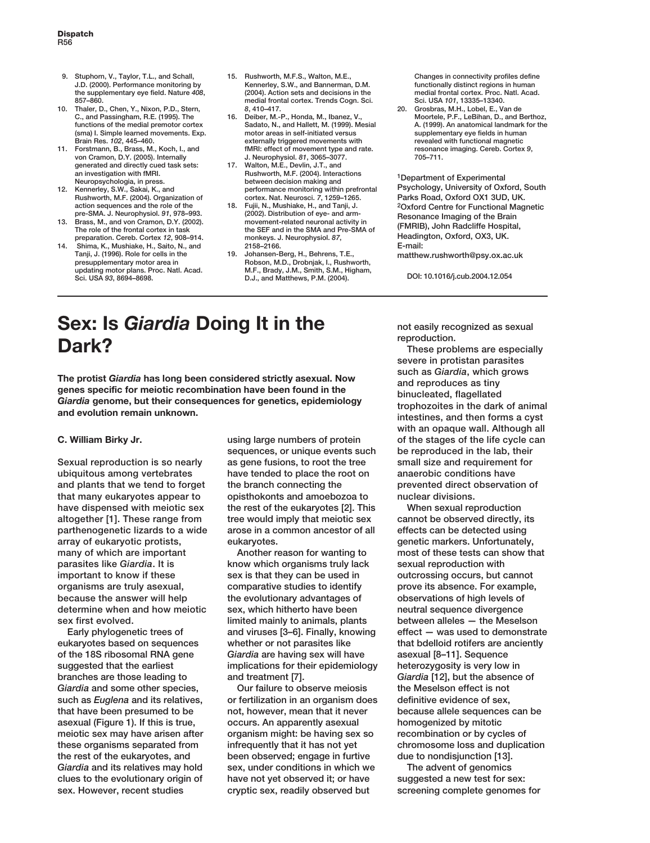- **9. Stuphorn, V., Taylor, T.L., and Schall, J.D. (2000). Performance monitoring by the supplementary eye field. Nature** *408***, 857–860.**
- **10. Thaler, D., Chen, Y., Nixon, P.D., Stern, C., and Passingham, R.E. (1995). The functions of the medial premotor cortex (sma) I. Simple learned movements. Exp. Brain Res.** *102***, 445–460.**
- **11. Forstmann, B., Brass, M., Koch, I., and von Cramon, D.Y. (2005). Internally generated and directly cued task sets: an investigation with fMRI. Neuropsychologia, in press.**
- **12. Kennerley, S.W., Sakai, K., and Rushworth, M.F. (2004). Organization of action sequences and the role of the pre-SMA. J. Neurophysiol.** *91***, 978–993.**
- **13. Brass, M., and von Cramon, D.Y. (2002). The role of the frontal cortex in task preparation. Cereb. Cortex** *12***, 908–914.**
- **14. Shima, K., Mushiake, H., Saito, N., and Tanji, J. (1996). Role for cells in the presupplementary motor area in updating motor plans. Proc. Natl. Acad. Sci. USA** *93***, 8694–8698.**
- **15. Rushworth, M.F.S., Walton, M.E., Kennerley, S.W., and Bannerman, D.M. (2004). Action sets and decisions in the medial frontal cortex. Trends Cogn. Sci.** *8***, 410–417.**
- **16. Deiber, M.-P., Honda, M., Ibanez, V., Sadato, N., and Hallett, M. (1999). Mesial motor areas in self-initiated versus externally triggered movements with fMRI: effect of movement type and rate. J. Neurophysiol.** *81***, 3065–3077.**
- **17. Walton, M.E., Devlin, J.T., and Rushworth, M.F. (2004). Interactions between decision making and performance monitoring within prefrontal cortex. Nat. Neurosci.** *7***, 1259–1265.**
- **18. Fujii, N., Mushiake, H., and Tanji, J. (2002). Distribution of eye- and armmovement-related neuronal activity in the SEF and in the SMA and Pre-SMA of monkeys. J. Neurophysiol.** *87***, 2158–2166.**
- **19. Johansen-Berg, H., Behrens, T.E., Robson, M.D., Drobnjak, I., Rushworth, M.F., Brady, J.M., Smith, S.M., Higham, D.J., and Matthews, P.M. (2004).**

**Changes in connectivity profiles define functionally distinct regions in human medial frontal cortex. Proc. Natl. Acad. Sci. USA** *101***, 13335–13340.**

**20. Grosbras, M.H., Lobel, E., Van de Moortele, P.F., LeBihan, D., and Berthoz, A. (1999). An anatomical landmark for the supplementary eye fields in human revealed with functional magnetic resonance imaging. Cereb. Cortex** *9***, 705–711.**

**1Department of Experimental Psychology, University of Oxford, South Parks Road, Oxford OX1 3UD, UK. 2Oxford Centre for Functional Magnetic Resonance Imaging of the Brain (FMRIB), John Radcliffe Hospital, Headington, Oxford, OX3, UK. E-mail:**

**matthew.rushworth@psy.ox.ac.uk**

**DOI: 10.1016/j.cub.2004.12.054**

## **Sex: Is** *Giardia* **Doing It in the Dark?**

**The protist** *Giardia* **has long been considered strictly asexual. Now genes specific for meiotic recombination have been found in the** *Giardia* **genome, but their consequences for genetics, epidemiology and evolution remain unknown.**

## **C. William Birky Jr.**

**Sexual reproduction is so nearly ubiquitous among vertebrates and plants that we tend to forget that many eukaryotes appear to have dispensed with meiotic sex altogether [1]. These range from parthenogenetic lizards to a wide array of eukaryotic protists, many of which are important parasites like** *Giardia***. It is important to know if these organisms are truly asexual, because the answer will help determine when and how meiotic sex first evolved.** 

**Early phylogenetic trees of eukaryotes based on sequences of the 18S ribosomal RNA gene suggested that the earliest branches are those leading to** *Giardia* **and some other species, such as** *Euglena* **and its relatives, that have been presumed to be asexual (Figure 1). If this is true, meiotic sex may have arisen after these organisms separated from the rest of the eukaryotes, and** *Giardia* **and its relatives may hold clues to the evolutionary origin of sex. However, recent studies**

**using large numbers of protein sequences, or unique events such as gene fusions, to root the tree have tended to place the root on the branch connecting the opisthokonts and amoebozoa to the rest of the eukaryotes [2]. This tree would imply that meiotic sex arose in a common ancestor of all eukaryotes.**

**Another reason for wanting to know which organisms truly lack sex is that they can be used in comparative studies to identify the evolutionary advantages of sex, which hitherto have been limited mainly to animals, plants and viruses [3–6]. Finally, knowing whether or not parasites like** *Giardia* **are having sex will have implications for their epidemiology and treatment [7].**

**Our failure to observe meiosis or fertilization in an organism does not, however, mean that it never occurs. An apparently asexual organism might: be having sex so infrequently that it has not yet been observed; engage in furtive sex, under conditions in which we have not yet observed it; or have cryptic sex, readily observed but**

**not easily recognized as sexual reproduction.** 

**These problems are especially severe in protistan parasites such as** *Giardia***, which grows and reproduces as tiny binucleated, flagellated trophozoites in the dark of animal intestines, and then forms a cyst with an opaque wall. Although all of the stages of the life cycle can be reproduced in the lab, their small size and requirement for anaerobic conditions have prevented direct observation of nuclear divisions.**

**When sexual reproduction cannot be observed directly, its effects can be detected using genetic markers. Unfortunately, most of these tests can show that sexual reproduction with outcrossing occurs, but cannot prove its absence. For example, observations of high levels of neutral sequence divergence between alleles — the Meselson effect — was used to demonstrate that bdelloid rotifers are anciently asexual [8–11]. Sequence heterozygosity is very low in** *Giardia* **[12], but the absence of the Meselson effect is not definitive evidence of sex, because allele sequences can be homogenized by mitotic recombination or by cycles of chromosome loss and duplication due to nondisjunction [13].**

**The advent of genomics suggested a new test for sex: screening complete genomes for**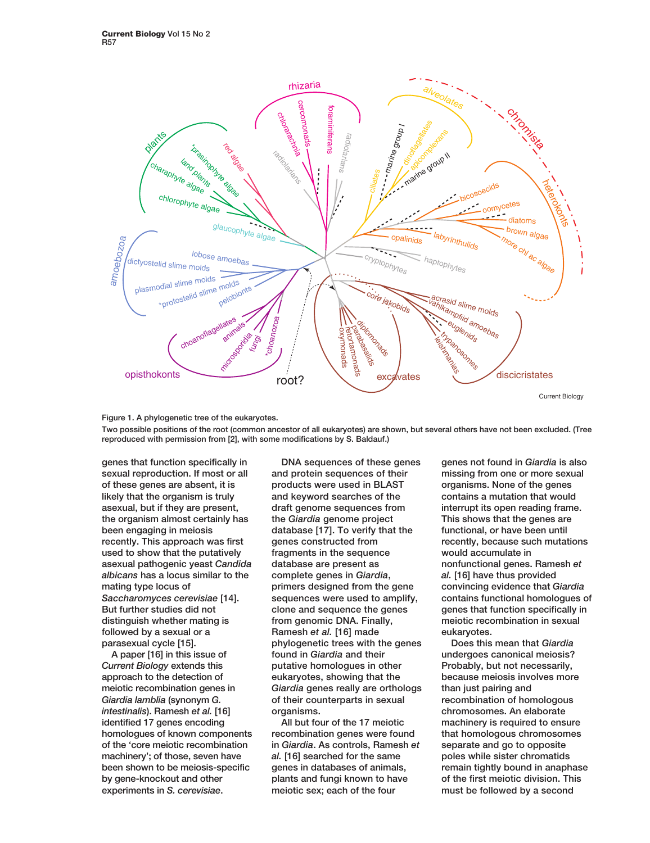



**Two possible positions of the root (common ancestor of all eukaryotes) are shown, but several others have not been excluded. (Tree reproduced with permission from [2], with some modifications by S. Baldauf.)**

**genes that function specifically in sexual reproduction. If most or all of these genes are absent, it is likely that the organism is truly asexual, but if they are present, the organism almost certainly has been engaging in meiosis recently. This approach was first used to show that the putatively asexual pathogenic yeast** *Candida albicans* **has a locus similar to the mating type locus of** *Saccharomyces cerevisiae* **[14]. But further studies did not distinguish whether mating is followed by a sexual or a parasexual cycle [15].**

**A paper [16] in this issue of** *Current Biology* **extends this approach to the detection of meiotic recombination genes in** *Giardia lamblia* **(synonym** *G. intestinalis***). Ramesh** *et al.* **[16] identified 17 genes encoding homologues of known components of the 'core meiotic recombination machinery'; of those, seven have been shown to be meiosis-specific by gene-knockout and other experiments in** *S. cerevisiae***.** 

**DNA sequences of these genes and protein sequences of their products were used in BLAST and keyword searches of the draft genome sequences from the** *Giardia* **genome project database [17]. To verify that the genes constructed from fragments in the sequence database are present as complete genes in** *Giardia***, primers designed from the gene sequences were used to amplify, clone and sequence the genes from genomic DNA. Finally, Ramesh** *et al.* **[16] made phylogenetic trees with the genes found in** *Giardia* **and their putative homologues in other eukaryotes, showing that the** *Giardia* **genes really are orthologs of their counterparts in sexual organisms.**

**All but four of the 17 meiotic recombination genes were found in** *Giardia***. As controls, Ramesh** *et al.* **[16] searched for the same genes in databases of animals, plants and fungi known to have meiotic sex; each of the four**

**genes not found in** *Giardia* **is also missing from one or more sexual organisms. None of the genes contains a mutation that would interrupt its open reading frame. This shows that the genes are functional, or have been until recently, because such mutations would accumulate in nonfunctional genes. Ramesh** *et al.* **[16] have thus provided convincing evidence that** *Giardia* **contains functional homologues of genes that function specifically in meiotic recombination in sexual eukaryotes.**

**Does this mean that** *Giardia* **undergoes canonical meiosis? Probably, but not necessarily, because meiosis involves more than just pairing and recombination of homologous chromosomes. An elaborate machinery is required to ensure that homologous chromosomes separate and go to opposite poles while sister chromatids remain tightly bound in anaphase of the first meiotic division. This must be followed by a second**